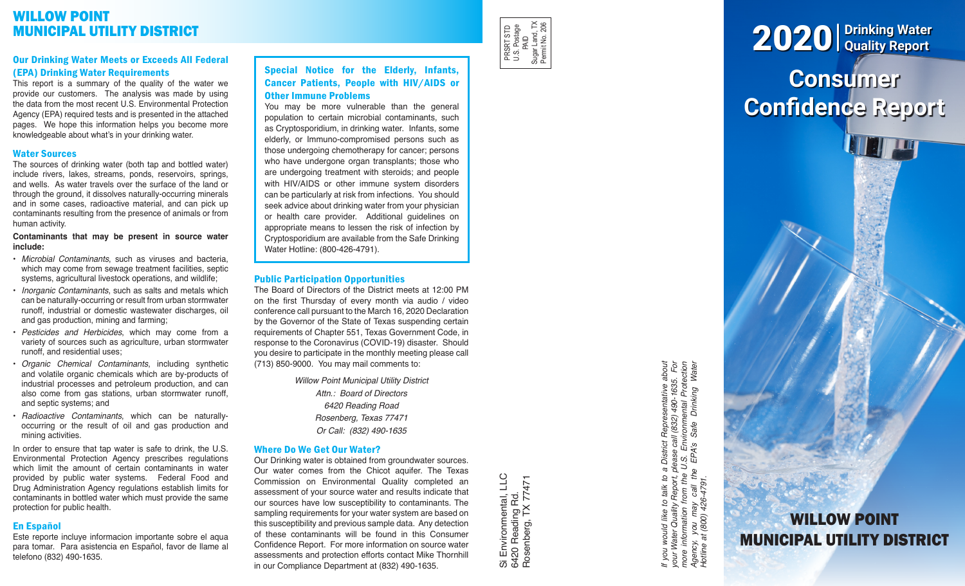# WILLOW POINT MUNICIPAL UTILITY DISTRICT

## Our Drinking Water Meets or Exceeds All Federal (EPA) Drinking Water Requirements

This report is a summary of the quality of the water we provide our customers. The analysis was made by using the data from the most recent U.S. Environmental Protection Agency (EPA) required tests and is presented in the attached pages. We hope this information helps you become more knowledgeable about what's in your drinking water.

## Water Sources

The sources of drinking water (both tap and bottled water) include rivers, lakes, streams, ponds, reservoirs, springs, and wells. As water travels over the surface of the land or through the ground, it dissolves naturally-occurring minerals and in some cases, radioactive material, and can pick up contaminants resulting from the presence of animals or from human activity.

#### **Contaminants that may be present in source water include:**

- *Microbial Contaminants*, such as viruses and bacteria, which may come from sewage treatment facilities, septic systems, agricultural livestock operations, and wildlife;
- *Inorganic Contaminants*, such as salts and metals which can be naturally-occurring or result from urban stormwater runoff, industrial or domestic wastewater discharges, oil and gas production, mining and farming;
- *Pesticides and Herbicides*, which may come from a variety of sources such as agriculture, urban stormwater runoff, and residential uses;
- *Organic Chemical Contaminants*, including synthetic and volatile organic chemicals which are by-products of industrial processes and petroleum production, and can also come from gas stations, urban stormwater runoff, and septic systems; and
- *Radioactive Contaminants*, which can be naturallyoccurring or the result of oil and gas production and mining activities.

In order to ensure that tap water is safe to drink, the U.S. Environmental Protection Agency prescribes regulations which limit the amount of certain contaminants in water provided by public water systems. Federal Food and Drug Administration Agency regulations establish limits for contaminants in bottled water which must provide the same protection for public health.

## En Español

Este reporte incluye informacion importante sobre el aqua para tomar. Para asistencia en Español, favor de llame al telefono (832) 490-1635.

## Special Notice for the Elderly, Infants, Cancer Patients, People with HIV/AIDS or Other Immune Problems

You may be more vulnerable than the general population to certain microbial contaminants, such as Cryptosporidium, in drinking water. Infants, some elderly, or Immuno-compromised persons such as those undergoing chemotherapy for cancer; persons who have undergone organ transplants; those who are undergoing treatment with steroids; and people with HIV/AIDS or other immune system disorders can be particularly at risk from infections. You should seek advice about drinking water from your physician or health care provider. Additional guidelines on appropriate means to lessen the risk of infection by Cryptosporidium are available from the Safe Drinking Water Hotline: (800-426-4791).

## Public Participation Opportunities

The Board of Directors of the District meets at 12:00 PM on the first Thursday of every month via audio / video conference call pursuant to the March 16, 2020 Declaration by the Governor of the State of Texas suspending certain requirements of Chapter 551, Texas Government Code, in response to the Coronavirus (COVID-19) disaster. Should you desire to participate in the monthly meeting please call (713) 850-9000. You may mail comments to:

> *Willow Point Municipal Utility District Attn.: Board of Directors 6420 Reading Road Rosenberg, Texas 77471 Or Call: (832) 490-1635*

## Where Do We Get Our Water?

Our Drinking water is obtained from groundwater sources. Our water comes from the Chicot aquifer. The Texas Commission on Environmental Quality completed an assessment of your source water and results indicate that our sources have low susceptibility to contaminants. The sampling requirements for your water system are based on this susceptibility and previous sample data. Any detection of these contaminants will be found in this Consumer Confidence Report. For more information on source water assessments and protection efforts contact Mike Thornhill in our Compliance Department at (832) 490-1635.

Si Environmental, LLC<br>6420 Reading Rd.<br>Rosenberg, TX 77471 Si Environmental, LLC Rosenberg, TX 77471 6420 Reading Rd.

PRSRT STD U.S. Postage PRSRT STD<br>U.S. Postage<br>Sugar Land, TX<br>Sugar Land, TX<br>Permit No. 206 Sugar Land, TX Permit No. 206

> If you would like to talk to a District Representative about<br>your Water Quality Report, please call (832) 490-1635. For<br>more information from the U.S. Environmental Protection<br>Agency, you may call the EPA's Safe Drinking W *If you would like to talk to a District Representative about your Water Quality Report, please call (832) 490-1635. For more information from the U.S. Environmental Protection Agency, you may call the EPA's Safe Drinking Water Hotline at (800) 426-4791.*

# **Consumer Confidence Report** 2020 **Drinking Water Quality Report**

WILLOW POINT MUNICIPAL UTILITY DISTRICT